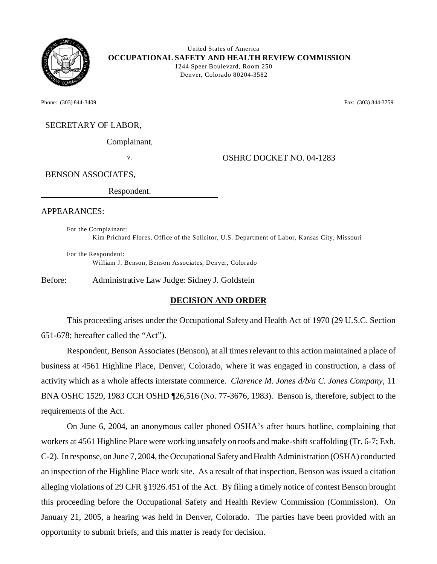

 United States of America **OCCUPATIONAL SAFETY AND HEALTH REVIEW COMMISSION** 1244 Speer Boulevard, Room 250 Denver, Colorado 80204-3582

Phone: (303) 844-3409 **Fax:** (303) 844-3759

### SECRETARY OF LABOR,

Complainant,

v.  $\bigcup_{\text{OSHRC DOCKET NO. 04-1283}}$ 

BENSON ASSOCIATES,

Respondent.

#### APPEARANCES:

For the Complainant: Kim Prichard Flores, Office of the Solicitor, U.S. Department of Labor, Kansas City, Missouri

For the Respondent: William J. Benson, Benson Associates, Denver, Colorado

Before: Administrative Law Judge: Sidney J. Goldstein

#### **DECISION AND ORDER**

This proceeding arises under the Occupational Safety and Health Act of 1970 (29 U.S.C. Section 651-678; hereafter called the "Act").

Respondent, Benson Associates (Benson), at all times relevant to this action maintained a place of business at 4561 Highline Place, Denver, Colorado, where it was engaged in construction, a class of activity which as a whole affects interstate commerce. *Clarence M. Jones d/b/a C. Jones Company,* 11 BNA OSHC 1529, 1983 CCH OSHD ¶26,516 (No. 77-3676, 1983). Benson is, therefore, subject to the requirements of the Act.

On June 6, 2004, an anonymous caller phoned OSHA's after hours hotline, complaining that workers at 4561 Highline Place were working unsafely on roofs and make-shift scaffolding (Tr. 6-7; Exh. C-2). In response, on June 7, 2004, the Occupational Safety and Health Administration (OSHA) conducted an inspection of the Highline Place work site. As a result of that inspection, Benson was issued a citation alleging violations of 29 CFR §1926.451 of the Act. By filing a timely notice of contest Benson brought this proceeding before the Occupational Safety and Health Review Commission (Commission). On January 21, 2005, a hearing was held in Denver, Colorado. The parties have been provided with an opportunity to submit briefs, and this matter is ready for decision.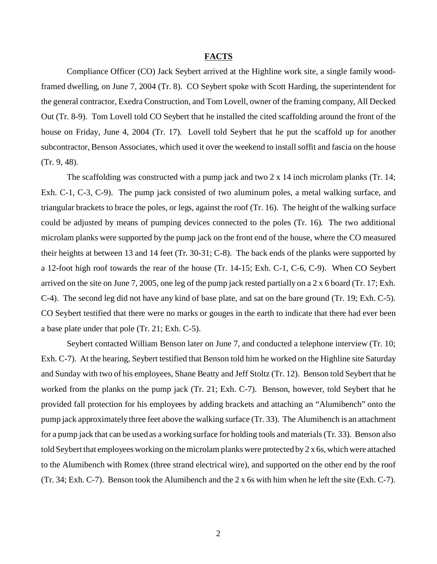### **FACTS**

Compliance Officer (CO) Jack Seybert arrived at the Highline work site, a single family woodframed dwelling, on June 7, 2004 (Tr. 8). CO Seybert spoke with Scott Harding, the superintendent for the general contractor, Exedra Construction, and Tom Lovell, owner of the framing company, All Decked Out (Tr. 8-9). Tom Lovell told CO Seybert that he installed the cited scaffolding around the front of the house on Friday, June 4, 2004 (Tr. 17). Lovell told Seybert that he put the scaffold up for another subcontractor, Benson Associates, which used it over the weekend to install soffit and fascia on the house (Tr. 9, 48).

The scaffolding was constructed with a pump jack and two 2 x 14 inch microlam planks (Tr. 14; Exh. C-1, C-3, C-9). The pump jack consisted of two aluminum poles, a metal walking surface, and triangular brackets to brace the poles, or legs, against the roof (Tr. 16). The height of the walking surface could be adjusted by means of pumping devices connected to the poles (Tr. 16). The two additional microlam planks were supported by the pump jack on the front end of the house, where the CO measured their heights at between 13 and 14 feet (Tr. 30-31; C-8). The back ends of the planks were supported by a 12-foot high roof towards the rear of the house (Tr. 14-15; Exh. C-1, C-6, C-9). When CO Seybert arrived on the site on June 7, 2005, one leg of the pump jack rested partially on a 2 x 6 board (Tr. 17; Exh. C-4). The second leg did not have any kind of base plate, and sat on the bare ground (Tr. 19; Exh. C-5). CO Seybert testified that there were no marks or gouges in the earth to indicate that there had ever been a base plate under that pole (Tr. 21; Exh. C-5).

Seybert contacted William Benson later on June 7, and conducted a telephone interview (Tr. 10; Exh. C-7). At the hearing, Seybert testified that Benson told him he worked on the Highline site Saturday and Sunday with two of his employees, Shane Beatty and Jeff Stoltz (Tr. 12). Benson told Seybert that he worked from the planks on the pump jack (Tr. 21; Exh. C-7). Benson, however, told Seybert that he provided fall protection for his employees by adding brackets and attaching an "Alumibench" onto the pump jack approximately three feet above the walking surface (Tr. 33). The Alumibench is an attachment for a pump jack that can be used as a working surface for holding tools and materials (Tr. 33). Benson also told Seybert that employees working on the microlam planks were protected by 2 x 6s, which were attached to the Alumibench with Romex (three strand electrical wire), and supported on the other end by the roof (Tr. 34; Exh. C-7). Benson took the Alumibench and the 2 x 6s with him when he left the site (Exh. C-7).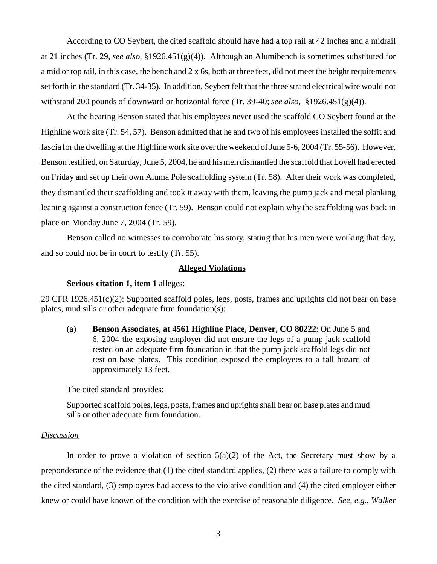According to CO Seybert, the cited scaffold should have had a top rail at 42 inches and a midrail at 21 inches (Tr. 29, *see also,* §1926.451(g)(4)). Although an Alumibench is sometimes substituted for a mid or top rail, in this case, the bench and  $2 \times 6s$ , both at three feet, did not meet the height requirements set forth in the standard (Tr. 34-35). In addition, Seybert felt that the three strand electrical wire would not withstand 200 pounds of downward or horizontal force (Tr. 39-40; *see also,* §1926.451(g)(4)).

At the hearing Benson stated that his employees never used the scaffold CO Seybert found at the Highline work site (Tr. 54, 57). Benson admitted that he and two of his employees installed the soffit and fascia for the dwelling at the Highline work site over the weekend of June 5-6, 2004 (Tr. 55-56). However, Benson testified, on Saturday, June 5, 2004, he and his men dismantled the scaffold that Lovell had erected on Friday and set up their own Aluma Pole scaffolding system (Tr. 58). After their work was completed, they dismantled their scaffolding and took it away with them, leaving the pump jack and metal planking leaning against a construction fence (Tr. 59). Benson could not explain why the scaffolding was back in place on Monday June 7, 2004 (Tr. 59).

Benson called no witnesses to corroborate his story, stating that his men were working that day, and so could not be in court to testify (Tr. 55).

#### **Alleged Violations**

### **Serious citation 1, item 1** alleges:

29 CFR 1926.451(c)(2): Supported scaffold poles, legs, posts, frames and uprights did not bear on base plates, mud sills or other adequate firm foundation(s):

(a) **Benson Associates, at 4561 Highline Place, Denver, CO 80222**: On June 5 and 6, 2004 the exposing employer did not ensure the legs of a pump jack scaffold rested on an adequate firm foundation in that the pump jack scaffold legs did not rest on base plates. This condition exposed the employees to a fall hazard of approximately 13 feet.

The cited standard provides:

Supported scaffold poles, legs, posts, frames and uprights shall bear on base plates and mud sills or other adequate firm foundation.

### *Discussion*

In order to prove a violation of section  $5(a)(2)$  of the Act, the Secretary must show by a preponderance of the evidence that (1) the cited standard applies, (2) there was a failure to comply with the cited standard, (3) employees had access to the violative condition and (4) the cited employer either knew or could have known of the condition with the exercise of reasonable diligence. *See, e.g., Walker*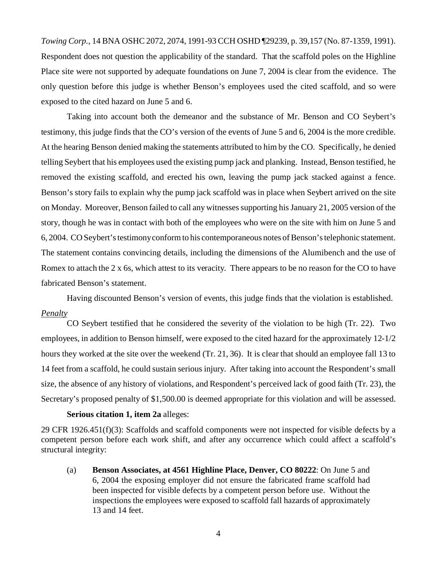*Towing Corp.*, 14 BNA OSHC 2072, 2074, 1991-93 CCH OSHD ¶29239, p. 39,157 (No. 87-1359, 1991). Respondent does not question the applicability of the standard. That the scaffold poles on the Highline Place site were not supported by adequate foundations on June 7, 2004 is clear from the evidence. The only question before this judge is whether Benson's employees used the cited scaffold, and so were exposed to the cited hazard on June 5 and 6.

Taking into account both the demeanor and the substance of Mr. Benson and CO Seybert's testimony, this judge finds that the CO's version of the events of June 5 and 6, 2004 is the more credible. At the hearing Benson denied making the statements attributed to him by the CO. Specifically, he denied telling Seybert that his employees used the existing pump jack and planking. Instead, Benson testified, he removed the existing scaffold, and erected his own, leaving the pump jack stacked against a fence. Benson's story fails to explain why the pump jack scaffold was in place when Seybert arrived on the site on Monday. Moreover, Benson failed to call any witnesses supporting his January 21, 2005 version of the story, though he was in contact with both of the employees who were on the site with him on June 5 and 6, 2004. CO Seybert's testimony conform to his contemporaneous notes of Benson's telephonic statement. The statement contains convincing details, including the dimensions of the Alumibench and the use of Romex to attach the 2 x 6s, which attest to its veracity. There appears to be no reason for the CO to have fabricated Benson's statement.

Having discounted Benson's version of events, this judge finds that the violation is established. *Penalty* 

CO Seybert testified that he considered the severity of the violation to be high (Tr. 22). Two employees, in addition to Benson himself, were exposed to the cited hazard for the approximately 12-1/2 hours they worked at the site over the weekend (Tr. 21, 36). It is clear that should an employee fall 13 to 14 feet from a scaffold, he could sustain serious injury. After taking into account the Respondent's small size, the absence of any history of violations, and Respondent's perceived lack of good faith (Tr. 23), the Secretary's proposed penalty of \$1,500.00 is deemed appropriate for this violation and will be assessed.

#### **Serious citation 1, item 2a** alleges:

29 CFR 1926.451(f)(3): Scaffolds and scaffold components were not inspected for visible defects by a competent person before each work shift, and after any occurrence which could affect a scaffold's structural integrity:

(a) **Benson Associates, at 4561 Highline Place, Denver, CO 80222**: On June 5 and 6, 2004 the exposing employer did not ensure the fabricated frame scaffold had been inspected for visible defects by a competent person before use. Without the inspections the employees were exposed to scaffold fall hazards of approximately 13 and 14 feet.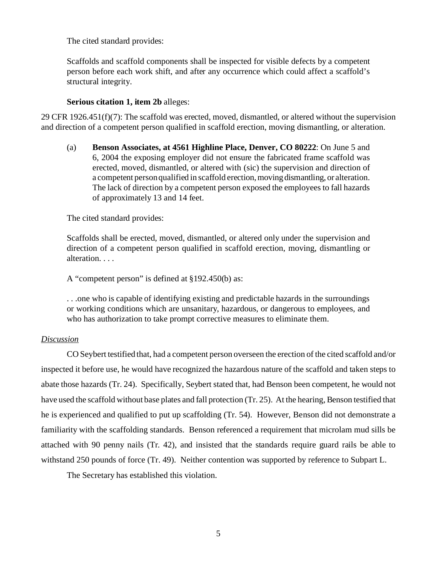The cited standard provides:

Scaffolds and scaffold components shall be inspected for visible defects by a competent person before each work shift, and after any occurrence which could affect a scaffold's structural integrity.

# **Serious citation 1, item 2b** alleges:

29 CFR 1926.451(f)(7): The scaffold was erected, moved, dismantled, or altered without the supervision and direction of a competent person qualified in scaffold erection, moving dismantling, or alteration.

(a) **Benson Associates, at 4561 Highline Place, Denver, CO 80222**: On June 5 and 6, 2004 the exposing employer did not ensure the fabricated frame scaffold was erected, moved, dismantled, or altered with (sic) the supervision and direction of a competent person qualified in scaffold erection, moving dismantling, or alteration. The lack of direction by a competent person exposed the employees to fall hazards of approximately 13 and 14 feet.

The cited standard provides:

Scaffolds shall be erected, moved, dismantled, or altered only under the supervision and direction of a competent person qualified in scaffold erection, moving, dismantling or alteration. . . .

A "competent person" is defined at §192.450(b) as:

. . .one who is capable of identifying existing and predictable hazards in the surroundings or working conditions which are unsanitary, hazardous, or dangerous to employees, and who has authorization to take prompt corrective measures to eliminate them.

### *Discussion*

CO Seybert testified that, had a competent person overseen the erection of the cited scaffold and/or inspected it before use, he would have recognized the hazardous nature of the scaffold and taken steps to abate those hazards (Tr. 24). Specifically, Seybert stated that, had Benson been competent, he would not have used the scaffold without base plates and fall protection (Tr. 25). At the hearing, Benson testified that he is experienced and qualified to put up scaffolding (Tr. 54). However, Benson did not demonstrate a familiarity with the scaffolding standards. Benson referenced a requirement that microlam mud sills be attached with 90 penny nails (Tr. 42), and insisted that the standards require guard rails be able to withstand 250 pounds of force (Tr. 49). Neither contention was supported by reference to Subpart L.

The Secretary has established this violation.